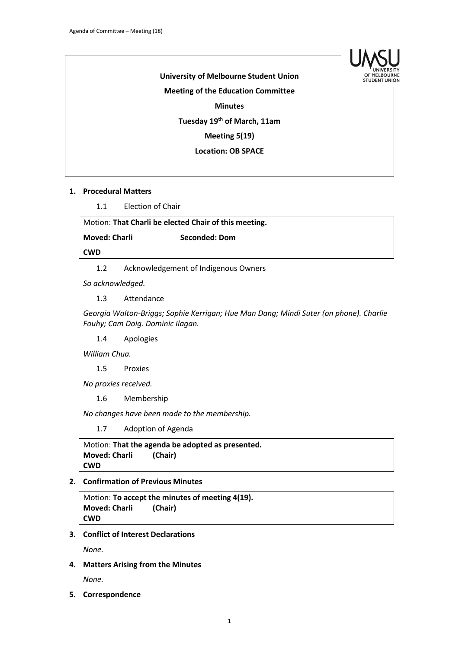

**University of Melbourne Student Union**

**Meeting of the Education Committee**

**Minutes**

**Tuesday 19th of March, 11am**

**Meeting 5(19)**

**Location: OB SPACE**

### **1. Procedural Matters**

1.1 Election of Chair

Motion: **That Charli be elected Chair of this meeting.**

**Moved: Charli Seconded: Dom**

**CWD**

1.2 Acknowledgement of Indigenous Owners

*So acknowledged.*

1.3 Attendance

*Georgia Walton-Briggs; Sophie Kerrigan; Hue Man Dang; Mindi Suter (on phone). Charlie Fouhy; Cam Doig. Dominic Ilagan.*

1.4 Apologies

*William Chua.*

1.5 Proxies

*No proxies received.*

1.6 Membership

*No changes have been made to the membership.*

1.7 Adoption of Agenda

Motion: **That the agenda be adopted as presented. Moved: Charli (Chair) CWD**

# **2. Confirmation of Previous Minutes**

```
Motion: To accept the minutes of meeting 4(19).
Moved: Charli (Chair)
CWD
```
## **3. Conflict of Interest Declarations**

*None.*

**4. Matters Arising from the Minutes**

*None.*

**5. Correspondence**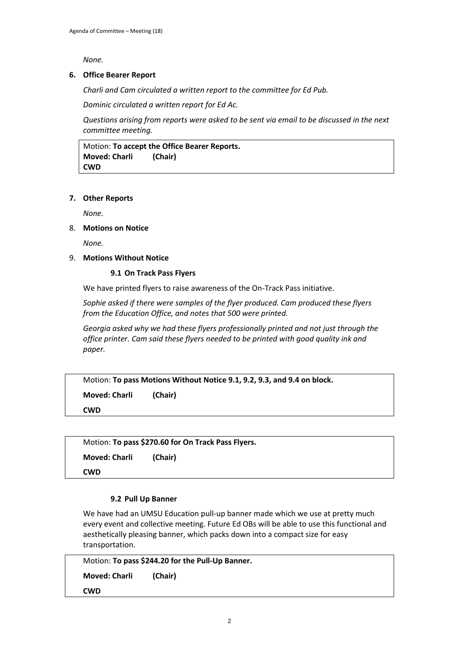*None.*

### **6. Office Bearer Report**

*Charli and Cam circulated a written report to the committee for Ed Pub.*

*Dominic circulated a written report for Ed Ac.*

*Questions arising from reports were asked to be sent via email to be discussed in the next committee meeting.*

Motion: **To accept the Office Bearer Reports. Moved: Charli (Chair) CWD**

### **7. Other Reports**

*None.*

8. **Motions on Notice**

*None.*

### 9. **Motions Without Notice**

#### **9.1 On Track Pass Flyers**

We have printed flyers to raise awareness of the On-Track Pass initiative.

*Sophie asked if there were samples of the flyer produced. Cam produced these flyers from the Education Office, and notes that 500 were printed.*

*Georgia asked why we had these flyers professionally printed and not just through the office printer. Cam said these flyers needed to be printed with good quality ink and paper.*

```
Motion: To pass Motions Without Notice 9.1, 9.2, 9.3, and 9.4 on block. 
Moved: Charli (Chair)
CWD
```

| Motion: To pass \$270.60 for On Track Pass Flyers. |         |
|----------------------------------------------------|---------|
| <b>Moved: Charli</b>                               | (Chair) |
| <b>CWD</b>                                         |         |

### **9.2 Pull Up Banner**

We have had an UMSU Education pull-up banner made which we use at pretty much every event and collective meeting. Future Ed OBs will be able to use this functional and aesthetically pleasing banner, which packs down into a compact size for easy transportation.

```
Motion: To pass $244.20 for the Pull-Up Banner. 
Moved: Charli (Chair)
CWD
```